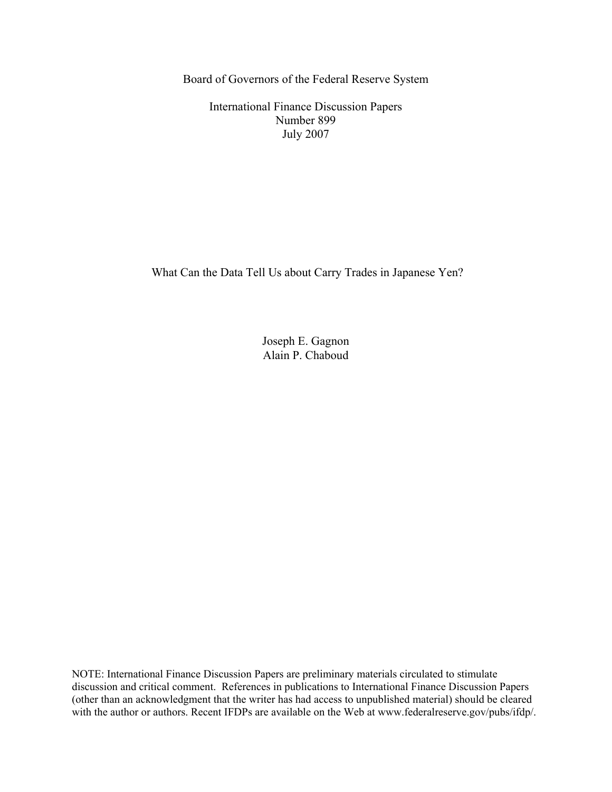Board of Governors of the Federal Reserve System

International Finance Discussion Papers Number 899 July 2007

What Can the Data Tell Us about Carry Trades in Japanese Yen?

Joseph E. Gagnon Alain P. Chaboud

NOTE: International Finance Discussion Papers are preliminary materials circulated to stimulate discussion and critical comment. References in publications to International Finance Discussion Papers (other than an acknowledgment that the writer has had access to unpublished material) should be cleared with the author or authors. Recent IFDPs are available on the Web at www.federalreserve.gov/pubs/ifdp/.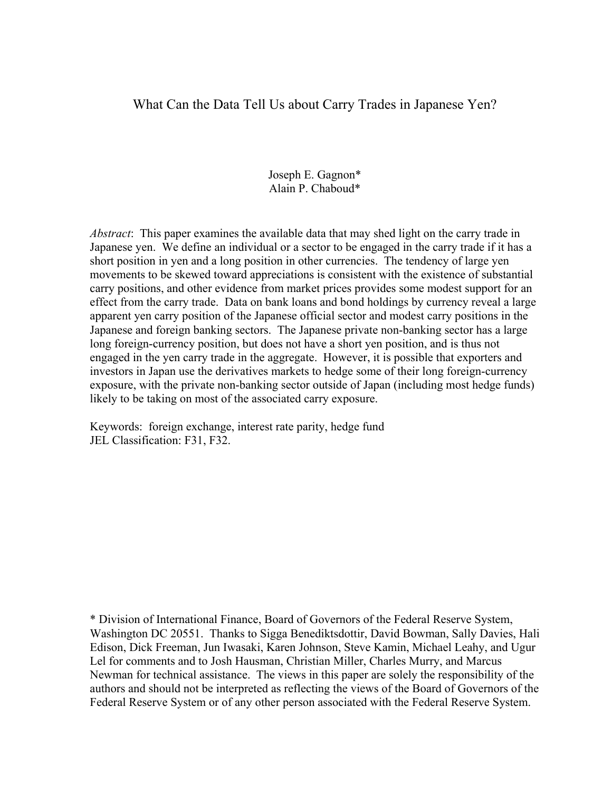# What Can the Data Tell Us about Carry Trades in Japanese Yen?

Joseph E. Gagnon\* Alain P. Chaboud\*

*Abstract*: This paper examines the available data that may shed light on the carry trade in Japanese yen. We define an individual or a sector to be engaged in the carry trade if it has a short position in yen and a long position in other currencies. The tendency of large yen movements to be skewed toward appreciations is consistent with the existence of substantial carry positions, and other evidence from market prices provides some modest support for an effect from the carry trade. Data on bank loans and bond holdings by currency reveal a large apparent yen carry position of the Japanese official sector and modest carry positions in the Japanese and foreign banking sectors. The Japanese private non-banking sector has a large long foreign-currency position, but does not have a short yen position, and is thus not engaged in the yen carry trade in the aggregate. However, it is possible that exporters and investors in Japan use the derivatives markets to hedge some of their long foreign-currency exposure, with the private non-banking sector outside of Japan (including most hedge funds) likely to be taking on most of the associated carry exposure.

Keywords: foreign exchange, interest rate parity, hedge fund JEL Classification: F31, F32.

\* Division of International Finance, Board of Governors of the Federal Reserve System, Washington DC 20551. Thanks to Sigga Benediktsdottir, David Bowman, Sally Davies, Hali Edison, Dick Freeman, Jun Iwasaki, Karen Johnson, Steve Kamin, Michael Leahy, and Ugur Lel for comments and to Josh Hausman, Christian Miller, Charles Murry, and Marcus Newman for technical assistance. The views in this paper are solely the responsibility of the authors and should not be interpreted as reflecting the views of the Board of Governors of the Federal Reserve System or of any other person associated with the Federal Reserve System.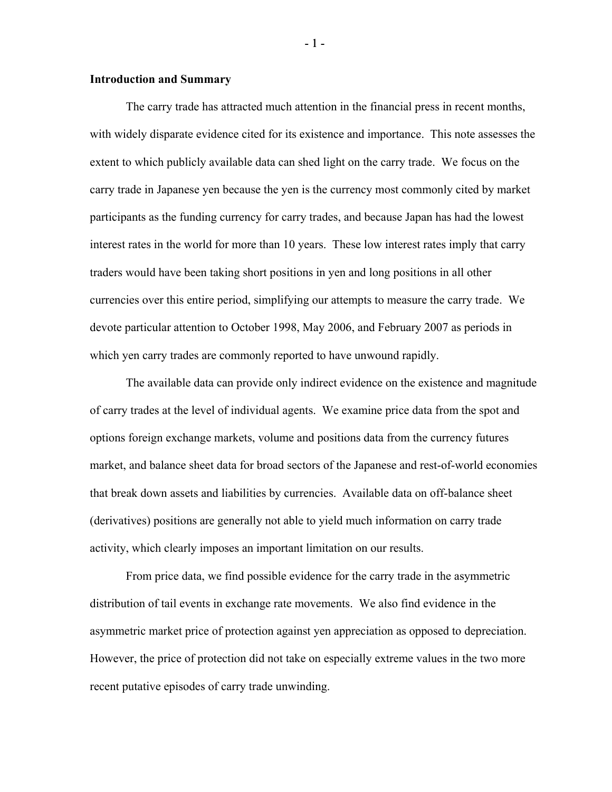## **Introduction and Summary**

 The carry trade has attracted much attention in the financial press in recent months, with widely disparate evidence cited for its existence and importance. This note assesses the extent to which publicly available data can shed light on the carry trade. We focus on the carry trade in Japanese yen because the yen is the currency most commonly cited by market participants as the funding currency for carry trades, and because Japan has had the lowest interest rates in the world for more than 10 years. These low interest rates imply that carry traders would have been taking short positions in yen and long positions in all other currencies over this entire period, simplifying our attempts to measure the carry trade. We devote particular attention to October 1998, May 2006, and February 2007 as periods in which yen carry trades are commonly reported to have unwound rapidly.

 The available data can provide only indirect evidence on the existence and magnitude of carry trades at the level of individual agents. We examine price data from the spot and options foreign exchange markets, volume and positions data from the currency futures market, and balance sheet data for broad sectors of the Japanese and rest-of-world economies that break down assets and liabilities by currencies. Available data on off-balance sheet (derivatives) positions are generally not able to yield much information on carry trade activity, which clearly imposes an important limitation on our results.

 From price data, we find possible evidence for the carry trade in the asymmetric distribution of tail events in exchange rate movements. We also find evidence in the asymmetric market price of protection against yen appreciation as opposed to depreciation. However, the price of protection did not take on especially extreme values in the two more recent putative episodes of carry trade unwinding.

- 1 -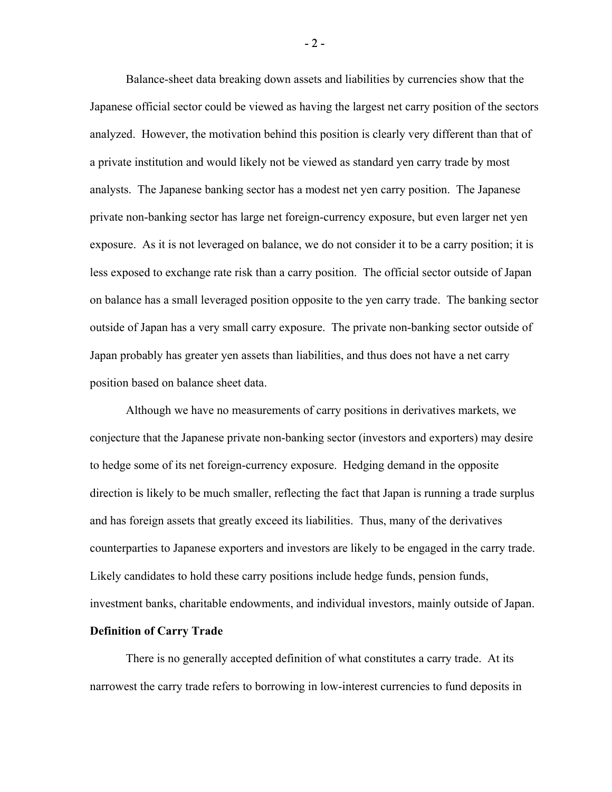Balance-sheet data breaking down assets and liabilities by currencies show that the Japanese official sector could be viewed as having the largest net carry position of the sectors analyzed. However, the motivation behind this position is clearly very different than that of a private institution and would likely not be viewed as standard yen carry trade by most analysts. The Japanese banking sector has a modest net yen carry position. The Japanese private non-banking sector has large net foreign-currency exposure, but even larger net yen exposure. As it is not leveraged on balance, we do not consider it to be a carry position; it is less exposed to exchange rate risk than a carry position. The official sector outside of Japan on balance has a small leveraged position opposite to the yen carry trade. The banking sector outside of Japan has a very small carry exposure. The private non-banking sector outside of Japan probably has greater yen assets than liabilities, and thus does not have a net carry position based on balance sheet data.

Although we have no measurements of carry positions in derivatives markets, we conjecture that the Japanese private non-banking sector (investors and exporters) may desire to hedge some of its net foreign-currency exposure. Hedging demand in the opposite direction is likely to be much smaller, reflecting the fact that Japan is running a trade surplus and has foreign assets that greatly exceed its liabilities. Thus, many of the derivatives counterparties to Japanese exporters and investors are likely to be engaged in the carry trade. Likely candidates to hold these carry positions include hedge funds, pension funds, investment banks, charitable endowments, and individual investors, mainly outside of Japan.

# **Definition of Carry Trade**

 There is no generally accepted definition of what constitutes a carry trade. At its narrowest the carry trade refers to borrowing in low-interest currencies to fund deposits in

 $-2-$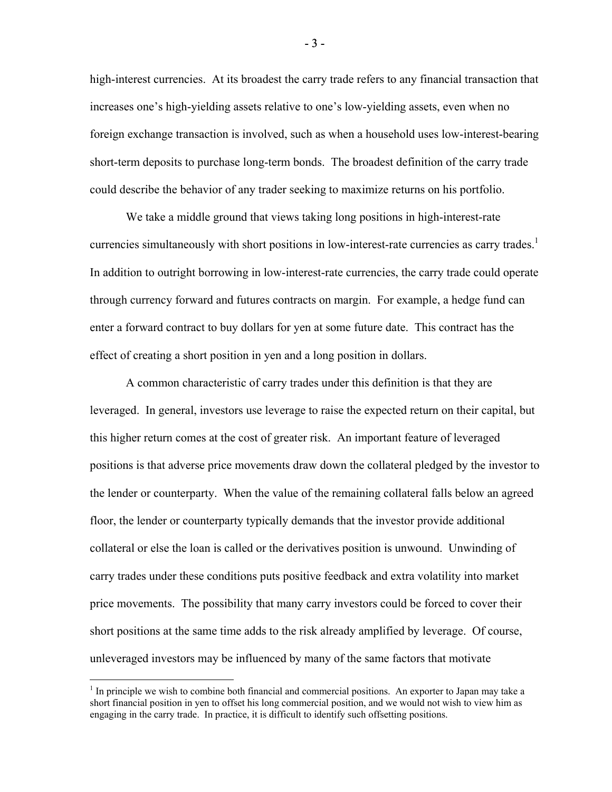high-interest currencies. At its broadest the carry trade refers to any financial transaction that increases one's high-yielding assets relative to one's low-yielding assets, even when no foreign exchange transaction is involved, such as when a household uses low-interest-bearing short-term deposits to purchase long-term bonds. The broadest definition of the carry trade could describe the behavior of any trader seeking to maximize returns on his portfolio.

 We take a middle ground that views taking long positions in high-interest-rate currencies simultaneously with short positions in low-interest-rate currencies as carry trades.<sup>1</sup> In addition to outright borrowing in low-interest-rate currencies, the carry trade could operate through currency forward and futures contracts on margin. For example, a hedge fund can enter a forward contract to buy dollars for yen at some future date. This contract has the effect of creating a short position in yen and a long position in dollars.

A common characteristic of carry trades under this definition is that they are leveraged. In general, investors use leverage to raise the expected return on their capital, but this higher return comes at the cost of greater risk. An important feature of leveraged positions is that adverse price movements draw down the collateral pledged by the investor to the lender or counterparty. When the value of the remaining collateral falls below an agreed floor, the lender or counterparty typically demands that the investor provide additional collateral or else the loan is called or the derivatives position is unwound. Unwinding of carry trades under these conditions puts positive feedback and extra volatility into market price movements. The possibility that many carry investors could be forced to cover their short positions at the same time adds to the risk already amplified by leverage. Of course, unleveraged investors may be influenced by many of the same factors that motivate

1

- 3 -

 $<sup>1</sup>$  In principle we wish to combine both financial and commercial positions. An exporter to Japan may take a</sup> short financial position in yen to offset his long commercial position, and we would not wish to view him as engaging in the carry trade. In practice, it is difficult to identify such offsetting positions.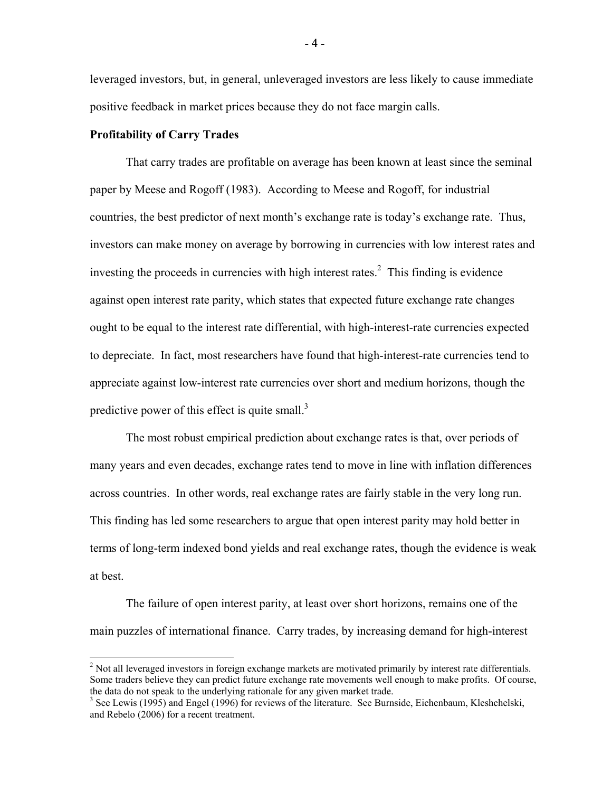leveraged investors, but, in general, unleveraged investors are less likely to cause immediate positive feedback in market prices because they do not face margin calls.

## **Profitability of Carry Trades**

 $\overline{a}$ 

 That carry trades are profitable on average has been known at least since the seminal paper by Meese and Rogoff (1983). According to Meese and Rogoff, for industrial countries, the best predictor of next month's exchange rate is today's exchange rate. Thus, investors can make money on average by borrowing in currencies with low interest rates and investing the proceeds in currencies with high interest rates.<sup>2</sup> This finding is evidence against open interest rate parity, which states that expected future exchange rate changes ought to be equal to the interest rate differential, with high-interest-rate currencies expected to depreciate. In fact, most researchers have found that high-interest-rate currencies tend to appreciate against low-interest rate currencies over short and medium horizons, though the predictive power of this effect is quite small. $3$ 

 The most robust empirical prediction about exchange rates is that, over periods of many years and even decades, exchange rates tend to move in line with inflation differences across countries. In other words, real exchange rates are fairly stable in the very long run. This finding has led some researchers to argue that open interest parity may hold better in terms of long-term indexed bond yields and real exchange rates, though the evidence is weak at best.

 The failure of open interest parity, at least over short horizons, remains one of the main puzzles of international finance. Carry trades, by increasing demand for high-interest

 $2$  Not all leveraged investors in foreign exchange markets are motivated primarily by interest rate differentials. Some traders believe they can predict future exchange rate movements well enough to make profits. Of course, the data do not speak to the underlying rationale for any given market trade.

<sup>&</sup>lt;sup>3</sup> See Lewis (1995) and Engel (1996) for reviews of the literature. See Burnside, Eichenbaum, Kleshchelski, and Rebelo (2006) for a recent treatment.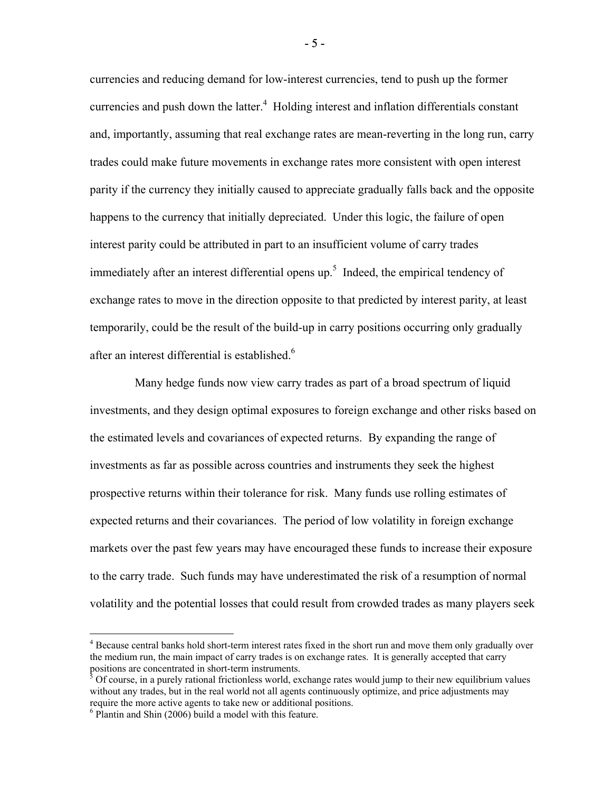currencies and reducing demand for low-interest currencies, tend to push up the former currencies and push down the latter. $4$  Holding interest and inflation differentials constant and, importantly, assuming that real exchange rates are mean-reverting in the long run, carry trades could make future movements in exchange rates more consistent with open interest parity if the currency they initially caused to appreciate gradually falls back and the opposite happens to the currency that initially depreciated. Under this logic, the failure of open interest parity could be attributed in part to an insufficient volume of carry trades immediately after an interest differential opens up.<sup>5</sup> Indeed, the empirical tendency of exchange rates to move in the direction opposite to that predicted by interest parity, at least temporarily, could be the result of the build-up in carry positions occurring only gradually after an interest differential is established.<sup>6</sup>

 Many hedge funds now view carry trades as part of a broad spectrum of liquid investments, and they design optimal exposures to foreign exchange and other risks based on the estimated levels and covariances of expected returns. By expanding the range of investments as far as possible across countries and instruments they seek the highest prospective returns within their tolerance for risk. Many funds use rolling estimates of expected returns and their covariances. The period of low volatility in foreign exchange markets over the past few years may have encouraged these funds to increase their exposure to the carry trade. Such funds may have underestimated the risk of a resumption of normal volatility and the potential losses that could result from crowded trades as many players seek

<u>.</u>

- 5 -

<sup>&</sup>lt;sup>4</sup> Because central banks hold short-term interest rates fixed in the short run and move them only gradually over the medium run, the main impact of carry trades is on exchange rates. It is generally accepted that carry positions are concentrated in short-term instruments.

 $5$  Of course, in a purely rational frictionless world, exchange rates would jump to their new equilibrium values without any trades, but in the real world not all agents continuously optimize, and price adjustments may require the more active agents to take new or additional positions.

<sup>6</sup> Plantin and Shin (2006) build a model with this feature.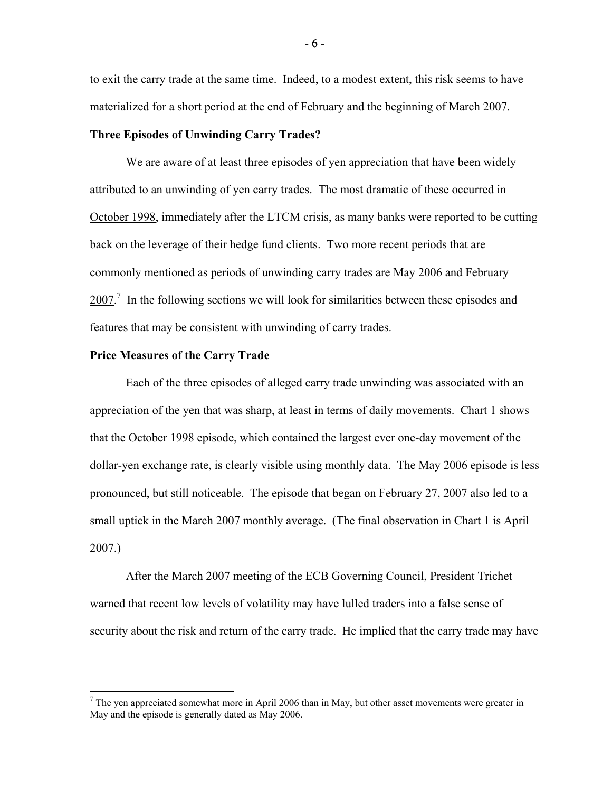to exit the carry trade at the same time. Indeed, to a modest extent, this risk seems to have materialized for a short period at the end of February and the beginning of March 2007.

#### **Three Episodes of Unwinding Carry Trades?**

We are aware of at least three episodes of yen appreciation that have been widely attributed to an unwinding of yen carry trades. The most dramatic of these occurred in October 1998, immediately after the LTCM crisis, as many banks were reported to be cutting back on the leverage of their hedge fund clients. Two more recent periods that are commonly mentioned as periods of unwinding carry trades are May 2006 and February  $2007$ .<sup>7</sup> In the following sections we will look for similarities between these episodes and features that may be consistent with unwinding of carry trades.

#### **Price Measures of the Carry Trade**

 $\overline{a}$ 

Each of the three episodes of alleged carry trade unwinding was associated with an appreciation of the yen that was sharp, at least in terms of daily movements. Chart 1 shows that the October 1998 episode, which contained the largest ever one-day movement of the dollar-yen exchange rate, is clearly visible using monthly data. The May 2006 episode is less pronounced, but still noticeable. The episode that began on February 27, 2007 also led to a small uptick in the March 2007 monthly average. (The final observation in Chart 1 is April 2007.)

After the March 2007 meeting of the ECB Governing Council, President Trichet warned that recent low levels of volatility may have lulled traders into a false sense of security about the risk and return of the carry trade. He implied that the carry trade may have

- 6 -

 $<sup>7</sup>$  The yen appreciated somewhat more in April 2006 than in May, but other asset movements were greater in</sup> May and the episode is generally dated as May 2006.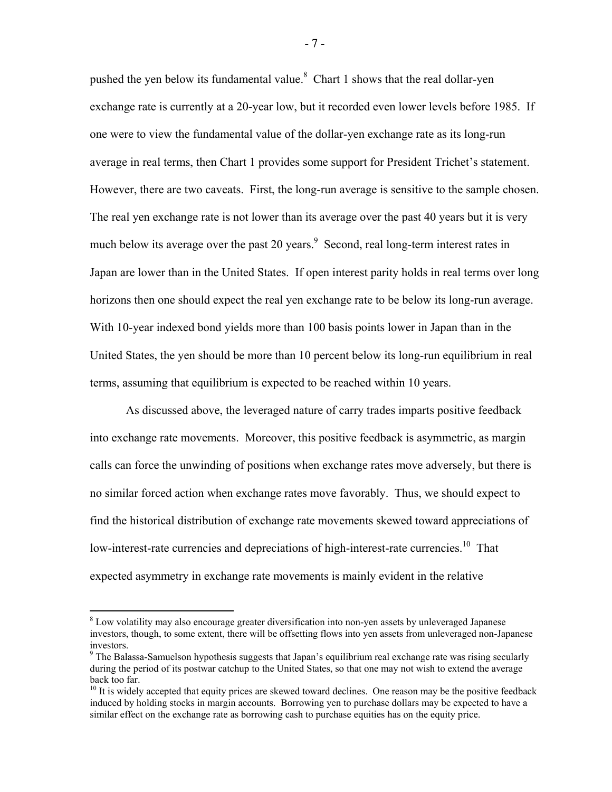pushed the yen below its fundamental value. $8$  Chart 1 shows that the real dollar-yen exchange rate is currently at a 20-year low, but it recorded even lower levels before 1985. If one were to view the fundamental value of the dollar-yen exchange rate as its long-run average in real terms, then Chart 1 provides some support for President Trichet's statement. However, there are two caveats. First, the long-run average is sensitive to the sample chosen. The real yen exchange rate is not lower than its average over the past 40 years but it is very much below its average over the past 20 years.<sup>9</sup> Second, real long-term interest rates in Japan are lower than in the United States. If open interest parity holds in real terms over long horizons then one should expect the real yen exchange rate to be below its long-run average. With 10-year indexed bond yields more than 100 basis points lower in Japan than in the United States, the yen should be more than 10 percent below its long-run equilibrium in real terms, assuming that equilibrium is expected to be reached within 10 years.

 As discussed above, the leveraged nature of carry trades imparts positive feedback into exchange rate movements. Moreover, this positive feedback is asymmetric, as margin calls can force the unwinding of positions when exchange rates move adversely, but there is no similar forced action when exchange rates move favorably. Thus, we should expect to find the historical distribution of exchange rate movements skewed toward appreciations of low-interest-rate currencies and depreciations of high-interest-rate currencies.<sup>10</sup> That expected asymmetry in exchange rate movements is mainly evident in the relative

1

- 7 -

<sup>&</sup>lt;sup>8</sup> Low volatility may also encourage greater diversification into non-yen assets by unleveraged Japanese investors, though, to some extent, there will be offsetting flows into yen assets from unleveraged non-Japanese investors.

<sup>&</sup>lt;sup>9</sup> The Balassa-Samuelson hypothesis suggests that Japan's equilibrium real exchange rate was rising secularly during the period of its postwar catchup to the United States, so that one may not wish to extend the average back too far.

 $10$  It is widely accepted that equity prices are skewed toward declines. One reason may be the positive feedback induced by holding stocks in margin accounts. Borrowing yen to purchase dollars may be expected to have a similar effect on the exchange rate as borrowing cash to purchase equities has on the equity price.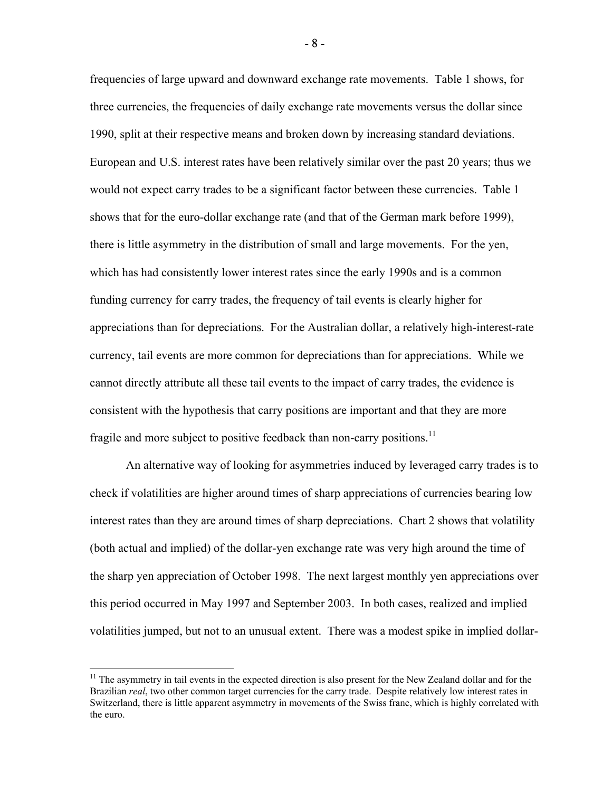frequencies of large upward and downward exchange rate movements. Table 1 shows, for three currencies, the frequencies of daily exchange rate movements versus the dollar since 1990, split at their respective means and broken down by increasing standard deviations. European and U.S. interest rates have been relatively similar over the past 20 years; thus we would not expect carry trades to be a significant factor between these currencies. Table 1 shows that for the euro-dollar exchange rate (and that of the German mark before 1999), there is little asymmetry in the distribution of small and large movements. For the yen, which has had consistently lower interest rates since the early 1990s and is a common funding currency for carry trades, the frequency of tail events is clearly higher for appreciations than for depreciations. For the Australian dollar, a relatively high-interest-rate currency, tail events are more common for depreciations than for appreciations. While we cannot directly attribute all these tail events to the impact of carry trades, the evidence is consistent with the hypothesis that carry positions are important and that they are more fragile and more subject to positive feedback than non-carry positions.<sup>11</sup>

An alternative way of looking for asymmetries induced by leveraged carry trades is to check if volatilities are higher around times of sharp appreciations of currencies bearing low interest rates than they are around times of sharp depreciations. Chart 2 shows that volatility (both actual and implied) of the dollar-yen exchange rate was very high around the time of the sharp yen appreciation of October 1998. The next largest monthly yen appreciations over this period occurred in May 1997 and September 2003. In both cases, realized and implied volatilities jumped, but not to an unusual extent. There was a modest spike in implied dollar-

 $\overline{a}$ 

- 8 -

 $11$  The asymmetry in tail events in the expected direction is also present for the New Zealand dollar and for the Brazilian *real*, two other common target currencies for the carry trade. Despite relatively low interest rates in Switzerland, there is little apparent asymmetry in movements of the Swiss franc, which is highly correlated with the euro.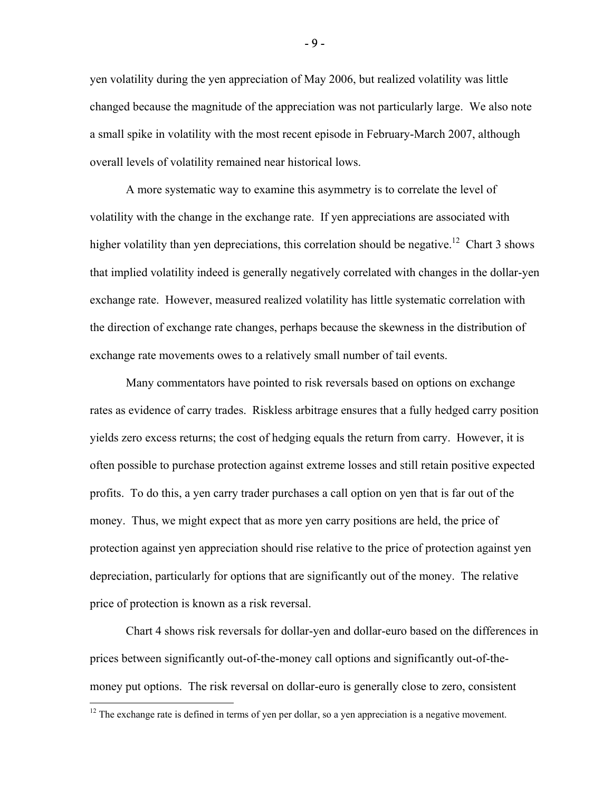yen volatility during the yen appreciation of May 2006, but realized volatility was little changed because the magnitude of the appreciation was not particularly large. We also note a small spike in volatility with the most recent episode in February-March 2007, although overall levels of volatility remained near historical lows.

 A more systematic way to examine this asymmetry is to correlate the level of volatility with the change in the exchange rate. If yen appreciations are associated with higher volatility than yen depreciations, this correlation should be negative.<sup>12</sup> Chart 3 shows that implied volatility indeed is generally negatively correlated with changes in the dollar-yen exchange rate. However, measured realized volatility has little systematic correlation with the direction of exchange rate changes, perhaps because the skewness in the distribution of exchange rate movements owes to a relatively small number of tail events.

Many commentators have pointed to risk reversals based on options on exchange rates as evidence of carry trades. Riskless arbitrage ensures that a fully hedged carry position yields zero excess returns; the cost of hedging equals the return from carry. However, it is often possible to purchase protection against extreme losses and still retain positive expected profits. To do this, a yen carry trader purchases a call option on yen that is far out of the money. Thus, we might expect that as more yen carry positions are held, the price of protection against yen appreciation should rise relative to the price of protection against yen depreciation, particularly for options that are significantly out of the money. The relative price of protection is known as a risk reversal.

Chart 4 shows risk reversals for dollar-yen and dollar-euro based on the differences in prices between significantly out-of-the-money call options and significantly out-of-themoney put options. The risk reversal on dollar-euro is generally close to zero, consistent

 $\overline{a}$ 

- 9 -

 $12$  The exchange rate is defined in terms of yen per dollar, so a yen appreciation is a negative movement.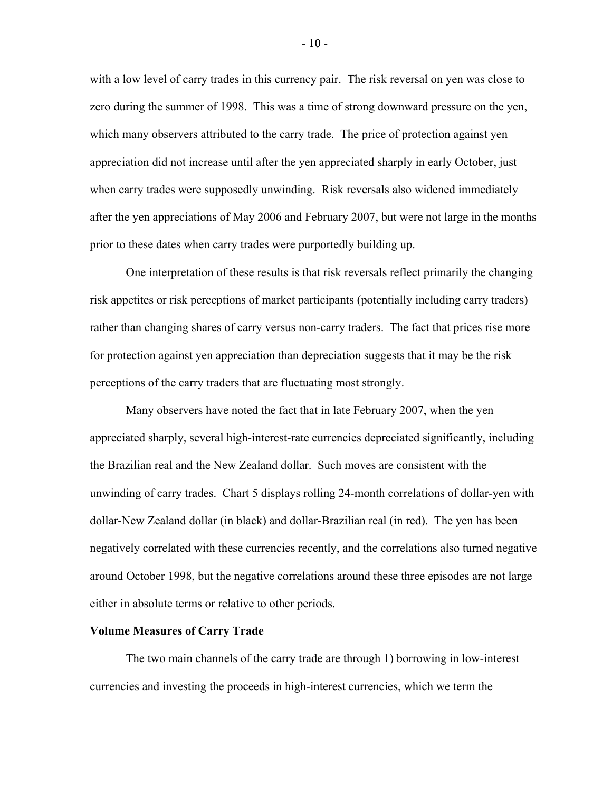with a low level of carry trades in this currency pair. The risk reversal on yen was close to zero during the summer of 1998. This was a time of strong downward pressure on the yen, which many observers attributed to the carry trade. The price of protection against yen appreciation did not increase until after the yen appreciated sharply in early October, just when carry trades were supposedly unwinding. Risk reversals also widened immediately after the yen appreciations of May 2006 and February 2007, but were not large in the months prior to these dates when carry trades were purportedly building up.

One interpretation of these results is that risk reversals reflect primarily the changing risk appetites or risk perceptions of market participants (potentially including carry traders) rather than changing shares of carry versus non-carry traders. The fact that prices rise more for protection against yen appreciation than depreciation suggests that it may be the risk perceptions of the carry traders that are fluctuating most strongly.

 Many observers have noted the fact that in late February 2007, when the yen appreciated sharply, several high-interest-rate currencies depreciated significantly, including the Brazilian real and the New Zealand dollar. Such moves are consistent with the unwinding of carry trades. Chart 5 displays rolling 24-month correlations of dollar-yen with dollar-New Zealand dollar (in black) and dollar-Brazilian real (in red). The yen has been negatively correlated with these currencies recently, and the correlations also turned negative around October 1998, but the negative correlations around these three episodes are not large either in absolute terms or relative to other periods.

#### **Volume Measures of Carry Trade**

The two main channels of the carry trade are through 1) borrowing in low-interest currencies and investing the proceeds in high-interest currencies, which we term the

- 10 -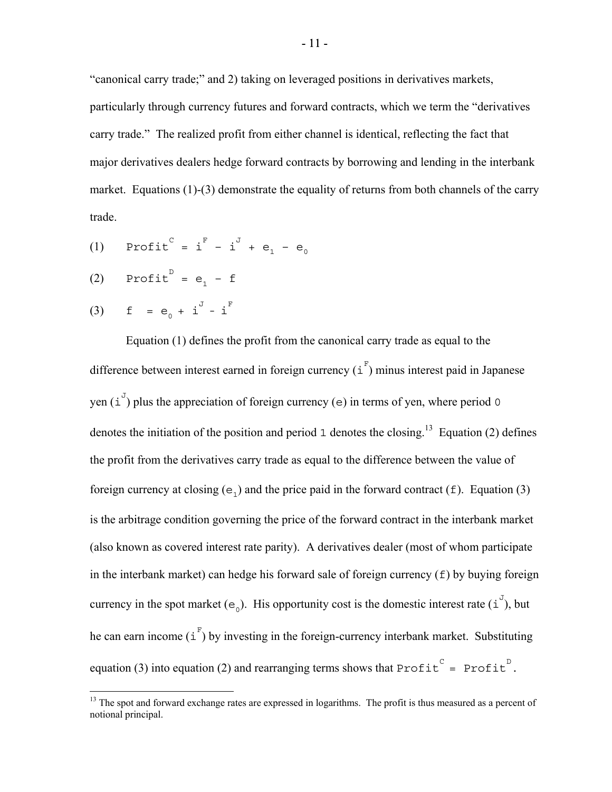"canonical carry trade;" and 2) taking on leveraged positions in derivatives markets, particularly through currency futures and forward contracts, which we term the "derivatives carry trade." The realized profit from either channel is identical, reflecting the fact that major derivatives dealers hedge forward contracts by borrowing and lending in the interbank market. Equations (1)-(3) demonstrate the equality of returns from both channels of the carry trade.

- (1) Profit  $c = i^F i^J + e_1 e_0$
- (2) Profit<sup>D</sup> =  $e_1 f$

(3) 
$$
f = e_0 + i^J - i^F
$$

1

 Equation (1) defines the profit from the canonical carry trade as equal to the difference between interest earned in foreign currency  $(i^{\text{F}})$  minus interest paid in Japanese yen  $(i^{\mathcal{J}})$  plus the appreciation of foreign currency (e) in terms of yen, where period 0 denotes the initiation of the position and period 1 denotes the closing.<sup>13</sup> Equation (2) defines the profit from the derivatives carry trade as equal to the difference between the value of foreign currency at closing  $(e_1)$  and the price paid in the forward contract (f). Equation (3) is the arbitrage condition governing the price of the forward contract in the interbank market (also known as covered interest rate parity). A derivatives dealer (most of whom participate in the interbank market) can hedge his forward sale of foreign currency (f) by buying foreign currency in the spot market ( $e_0$ ). His opportunity cost is the domestic interest rate (i<sup>J</sup>), but he can earn income  $(i^{\mathsf{F}})$  by investing in the foreign-currency interbank market. Substituting equation (3) into equation (2) and rearranging terms shows that  $Profit^C = Profit^D$ .

<sup>&</sup>lt;sup>13</sup> The spot and forward exchange rates are expressed in logarithms. The profit is thus measured as a percent of notional principal.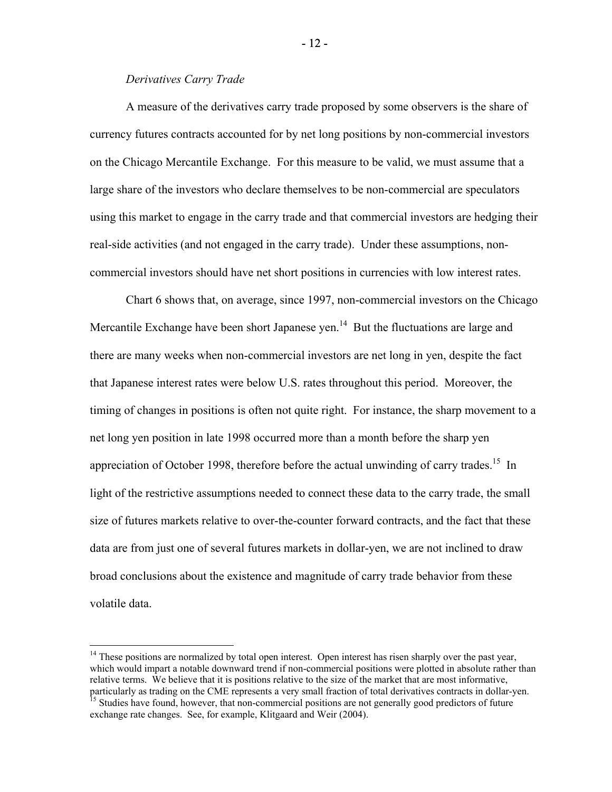# *Derivatives Carry Trade*

1

A measure of the derivatives carry trade proposed by some observers is the share of currency futures contracts accounted for by net long positions by non-commercial investors on the Chicago Mercantile Exchange. For this measure to be valid, we must assume that a large share of the investors who declare themselves to be non-commercial are speculators using this market to engage in the carry trade and that commercial investors are hedging their real-side activities (and not engaged in the carry trade). Under these assumptions, noncommercial investors should have net short positions in currencies with low interest rates.

Chart 6 shows that, on average, since 1997, non-commercial investors on the Chicago Mercantile Exchange have been short Japanese yen.<sup>14</sup> But the fluctuations are large and there are many weeks when non-commercial investors are net long in yen, despite the fact that Japanese interest rates were below U.S. rates throughout this period. Moreover, the timing of changes in positions is often not quite right. For instance, the sharp movement to a net long yen position in late 1998 occurred more than a month before the sharp yen appreciation of October 1998, therefore before the actual unwinding of carry trades.<sup>15</sup> In light of the restrictive assumptions needed to connect these data to the carry trade, the small size of futures markets relative to over-the-counter forward contracts, and the fact that these data are from just one of several futures markets in dollar-yen, we are not inclined to draw broad conclusions about the existence and magnitude of carry trade behavior from these volatile data.

- 12 -

<sup>&</sup>lt;sup>14</sup> These positions are normalized by total open interest. Open interest has risen sharply over the past year, which would impart a notable downward trend if non-commercial positions were plotted in absolute rather than relative terms. We believe that it is positions relative to the size of the market that are most informative, particularly as trading on the CME represents a very small fraction of total derivatives contracts in dollar-yen

 $\frac{15}{15}$  Studies have found, however, that non-commercial positions are not generally good predictors of future exchange rate changes. See, for example, Klitgaard and Weir (2004).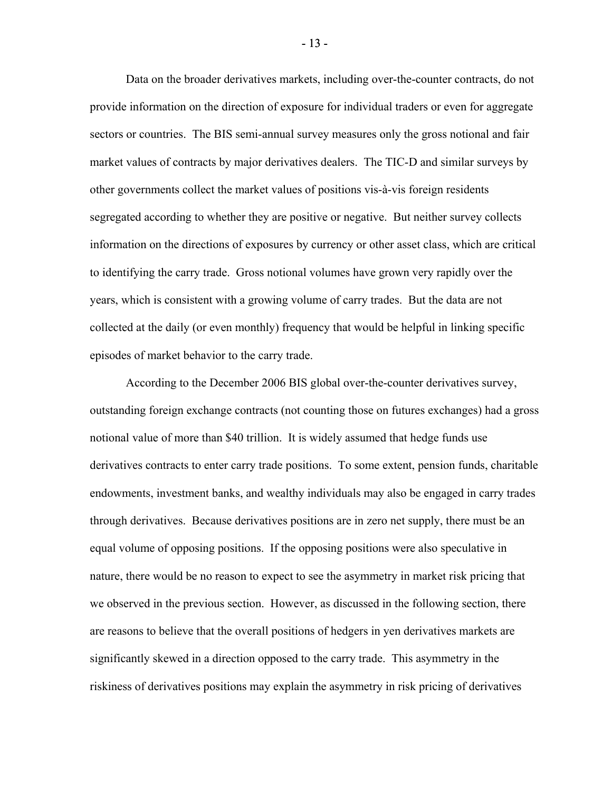Data on the broader derivatives markets, including over-the-counter contracts, do not provide information on the direction of exposure for individual traders or even for aggregate sectors or countries. The BIS semi-annual survey measures only the gross notional and fair market values of contracts by major derivatives dealers. The TIC-D and similar surveys by other governments collect the market values of positions vis-à-vis foreign residents segregated according to whether they are positive or negative. But neither survey collects information on the directions of exposures by currency or other asset class, which are critical to identifying the carry trade. Gross notional volumes have grown very rapidly over the years, which is consistent with a growing volume of carry trades. But the data are not collected at the daily (or even monthly) frequency that would be helpful in linking specific episodes of market behavior to the carry trade.

According to the December 2006 BIS global over-the-counter derivatives survey, outstanding foreign exchange contracts (not counting those on futures exchanges) had a gross notional value of more than \$40 trillion. It is widely assumed that hedge funds use derivatives contracts to enter carry trade positions. To some extent, pension funds, charitable endowments, investment banks, and wealthy individuals may also be engaged in carry trades through derivatives. Because derivatives positions are in zero net supply, there must be an equal volume of opposing positions. If the opposing positions were also speculative in nature, there would be no reason to expect to see the asymmetry in market risk pricing that we observed in the previous section. However, as discussed in the following section, there are reasons to believe that the overall positions of hedgers in yen derivatives markets are significantly skewed in a direction opposed to the carry trade. This asymmetry in the riskiness of derivatives positions may explain the asymmetry in risk pricing of derivatives

- 13 -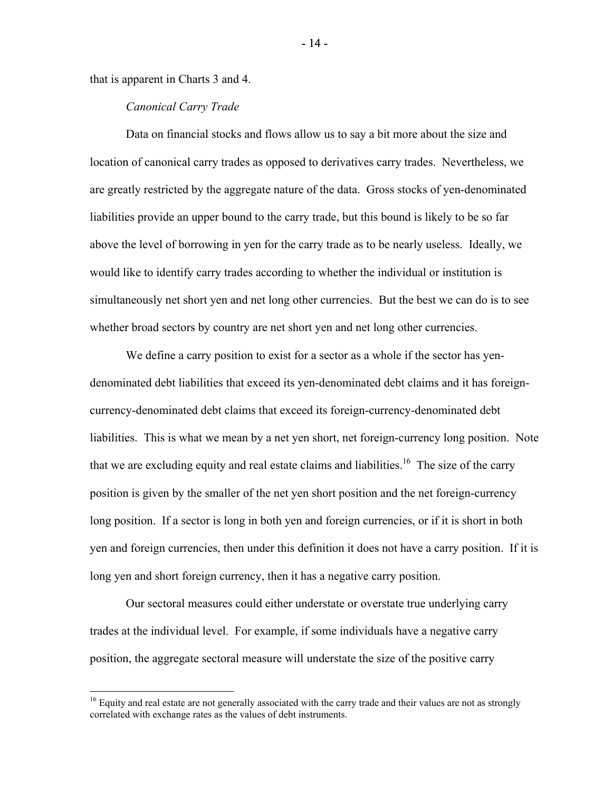that is apparent in Charts 3 and 4.

 $\overline{a}$ 

## *Canonical Carry Trade*

Data on financial stocks and flows allow us to say a bit more about the size and location of canonical carry trades as opposed to derivatives carry trades. Nevertheless, we are greatly restricted by the aggregate nature of the data. Gross stocks of yen-denominated liabilities provide an upper bound to the carry trade, but this bound is likely to be so far above the level of borrowing in yen for the carry trade as to be nearly useless. Ideally, we would like to identify carry trades according to whether the individual or institution is simultaneously net short yen and net long other currencies. But the best we can do is to see whether broad sectors by country are net short yen and net long other currencies.

We define a carry position to exist for a sector as a whole if the sector has yendenominated debt liabilities that exceed its yen-denominated debt claims and it has foreigncurrency-denominated debt claims that exceed its foreign-currency-denominated debt liabilities. This is what we mean by a net yen short, net foreign-currency long position. Note that we are excluding equity and real estate claims and liabilities.<sup>16</sup> The size of the carry position is given by the smaller of the net yen short position and the net foreign-currency long position. If a sector is long in both yen and foreign currencies, or if it is short in both yen and foreign currencies, then under this definition it does not have a carry position. If it is long yen and short foreign currency, then it has a negative carry position.

Our sectoral measures could either understate or overstate true underlying carry trades at the individual level. For example, if some individuals have a negative carry position, the aggregate sectoral measure will understate the size of the positive carry

- 14 -

<sup>&</sup>lt;sup>16</sup> Equity and real estate are not generally associated with the carry trade and their values are not as strongly correlated with exchange rates as the values of debt instruments.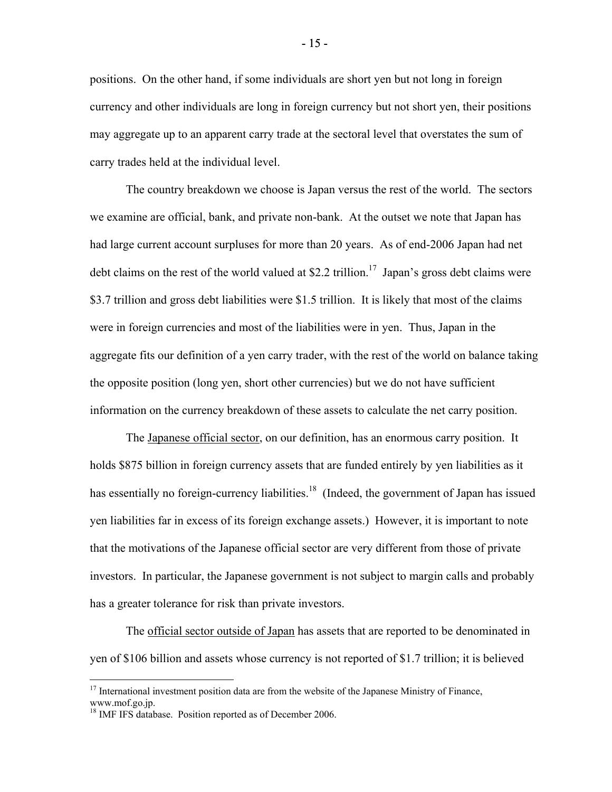positions. On the other hand, if some individuals are short yen but not long in foreign currency and other individuals are long in foreign currency but not short yen, their positions may aggregate up to an apparent carry trade at the sectoral level that overstates the sum of carry trades held at the individual level.

The country breakdown we choose is Japan versus the rest of the world. The sectors we examine are official, bank, and private non-bank. At the outset we note that Japan has had large current account surpluses for more than 20 years. As of end-2006 Japan had net debt claims on the rest of the world valued at \$2.2 trillion.<sup>17</sup> Japan's gross debt claims were \$3.7 trillion and gross debt liabilities were \$1.5 trillion. It is likely that most of the claims were in foreign currencies and most of the liabilities were in yen. Thus, Japan in the aggregate fits our definition of a yen carry trader, with the rest of the world on balance taking the opposite position (long yen, short other currencies) but we do not have sufficient information on the currency breakdown of these assets to calculate the net carry position.

The Japanese official sector, on our definition, has an enormous carry position. It holds \$875 billion in foreign currency assets that are funded entirely by yen liabilities as it has essentially no foreign-currency liabilities.<sup>18</sup> (Indeed, the government of Japan has issued yen liabilities far in excess of its foreign exchange assets.) However, it is important to note that the motivations of the Japanese official sector are very different from those of private investors. In particular, the Japanese government is not subject to margin calls and probably has a greater tolerance for risk than private investors.

The official sector outside of Japan has assets that are reported to be denominated in yen of \$106 billion and assets whose currency is not reported of \$1.7 trillion; it is believed

 $\overline{a}$ 

<sup>&</sup>lt;sup>17</sup> International investment position data are from the website of the Japanese Ministry of Finance, www.mof.go.jp.

<sup>&</sup>lt;sup>18</sup> IMF IFS database. Position reported as of December 2006.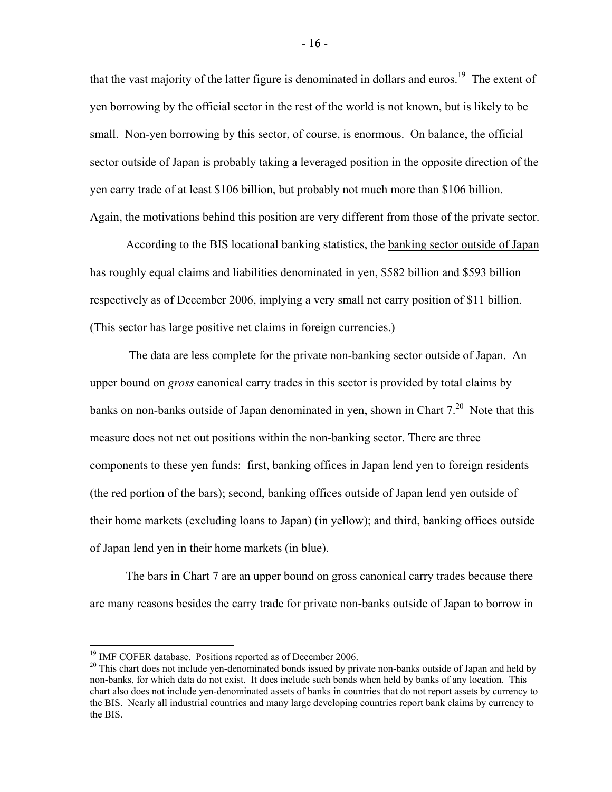that the vast majority of the latter figure is denominated in dollars and euros.<sup>19</sup> The extent of yen borrowing by the official sector in the rest of the world is not known, but is likely to be small. Non-yen borrowing by this sector, of course, is enormous. On balance, the official sector outside of Japan is probably taking a leveraged position in the opposite direction of the yen carry trade of at least \$106 billion, but probably not much more than \$106 billion. Again, the motivations behind this position are very different from those of the private sector.

According to the BIS locational banking statistics, the banking sector outside of Japan has roughly equal claims and liabilities denominated in yen, \$582 billion and \$593 billion respectively as of December 2006, implying a very small net carry position of \$11 billion. (This sector has large positive net claims in foreign currencies.)

 The data are less complete for the private non-banking sector outside of Japan. An upper bound on *gross* canonical carry trades in this sector is provided by total claims by banks on non-banks outside of Japan denominated in yen, shown in Chart  $7<sup>20</sup>$  Note that this measure does not net out positions within the non-banking sector. There are three components to these yen funds: first, banking offices in Japan lend yen to foreign residents (the red portion of the bars); second, banking offices outside of Japan lend yen outside of their home markets (excluding loans to Japan) (in yellow); and third, banking offices outside of Japan lend yen in their home markets (in blue).

The bars in Chart 7 are an upper bound on gross canonical carry trades because there are many reasons besides the carry trade for private non-banks outside of Japan to borrow in

 $\overline{a}$ 

<sup>&</sup>lt;sup>19</sup> IMF COFER database. Positions reported as of December 2006.

<sup>&</sup>lt;sup>20</sup> This chart does not include yen-denominated bonds issued by private non-banks outside of Japan and held by non-banks, for which data do not exist. It does include such bonds when held by banks of any location. This chart also does not include yen-denominated assets of banks in countries that do not report assets by currency to the BIS. Nearly all industrial countries and many large developing countries report bank claims by currency to the BIS.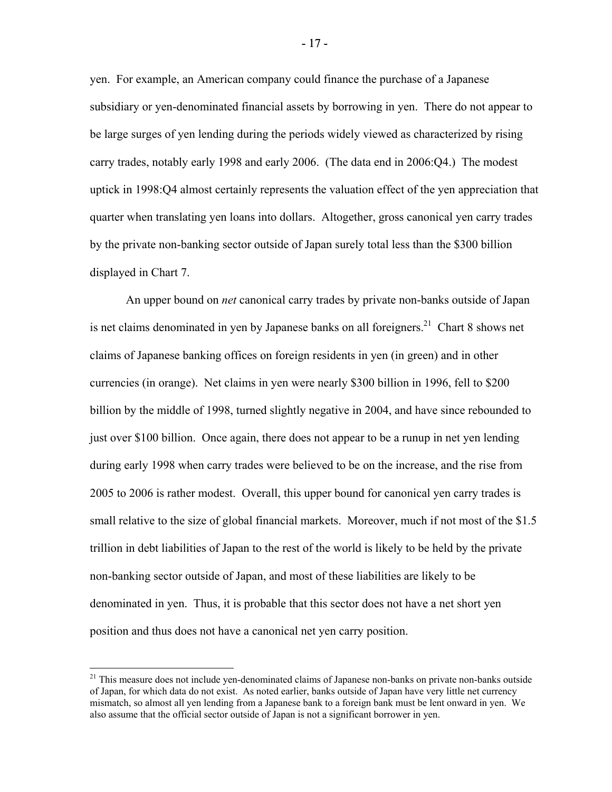yen. For example, an American company could finance the purchase of a Japanese subsidiary or yen-denominated financial assets by borrowing in yen. There do not appear to be large surges of yen lending during the periods widely viewed as characterized by rising carry trades, notably early 1998 and early 2006. (The data end in 2006:Q4.) The modest uptick in 1998:Q4 almost certainly represents the valuation effect of the yen appreciation that quarter when translating yen loans into dollars. Altogether, gross canonical yen carry trades by the private non-banking sector outside of Japan surely total less than the \$300 billion displayed in Chart 7.

An upper bound on *net* canonical carry trades by private non-banks outside of Japan is net claims denominated in yen by Japanese banks on all foreigners.<sup>21</sup> Chart 8 shows net claims of Japanese banking offices on foreign residents in yen (in green) and in other currencies (in orange). Net claims in yen were nearly \$300 billion in 1996, fell to \$200 billion by the middle of 1998, turned slightly negative in 2004, and have since rebounded to just over \$100 billion. Once again, there does not appear to be a runup in net yen lending during early 1998 when carry trades were believed to be on the increase, and the rise from 2005 to 2006 is rather modest. Overall, this upper bound for canonical yen carry trades is small relative to the size of global financial markets. Moreover, much if not most of the \$1.5 trillion in debt liabilities of Japan to the rest of the world is likely to be held by the private non-banking sector outside of Japan, and most of these liabilities are likely to be denominated in yen. Thus, it is probable that this sector does not have a net short yen position and thus does not have a canonical net yen carry position.

 $\overline{a}$ 

- 17 -

<sup>&</sup>lt;sup>21</sup> This measure does not include yen-denominated claims of Japanese non-banks on private non-banks outside of Japan, for which data do not exist. As noted earlier, banks outside of Japan have very little net currency mismatch, so almost all yen lending from a Japanese bank to a foreign bank must be lent onward in yen. We also assume that the official sector outside of Japan is not a significant borrower in yen.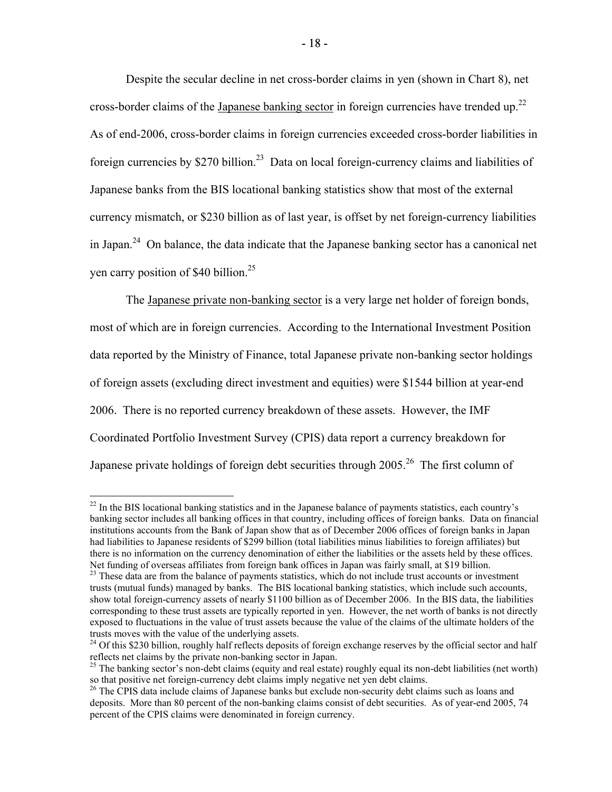Despite the secular decline in net cross-border claims in yen (shown in Chart 8), net cross-border claims of the Japanese banking sector in foreign currencies have trended up.<sup>22</sup> As of end-2006, cross-border claims in foreign currencies exceeded cross-border liabilities in foreign currencies by  $$270$  billion.<sup>23</sup> Data on local foreign-currency claims and liabilities of Japanese banks from the BIS locational banking statistics show that most of the external currency mismatch, or \$230 billion as of last year, is offset by net foreign-currency liabilities in Japan.<sup>24</sup> On balance, the data indicate that the Japanese banking sector has a canonical net yen carry position of \$40 billion. $25$ 

 The Japanese private non-banking sector is a very large net holder of foreign bonds, most of which are in foreign currencies. According to the International Investment Position data reported by the Ministry of Finance, total Japanese private non-banking sector holdings of foreign assets (excluding direct investment and equities) were \$1544 billion at year-end 2006. There is no reported currency breakdown of these assets. However, the IMF Coordinated Portfolio Investment Survey (CPIS) data report a currency breakdown for Japanese private holdings of foreign debt securities through 2005.<sup>26</sup> The first column of

 $\overline{a}$ 

 $^{22}$  In the BIS locational banking statistics and in the Japanese balance of payments statistics, each country's banking sector includes all banking offices in that country, including offices of foreign banks. Data on financial institutions accounts from the Bank of Japan show that as of December 2006 offices of foreign banks in Japan had liabilities to Japanese residents of \$299 billion (total liabilities minus liabilities to foreign affiliates) but there is no information on the currency denomination of either the liabilities or the assets held by these offices. Net funding of overseas affiliates from foreign bank offices in Japan was fairly small, at \$19 billion.<br><sup>23</sup> These data are from the balance of payments statistics, which do not include trust accounts or investment

trusts (mutual funds) managed by banks. The BIS locational banking statistics, which include such accounts, show total foreign-currency assets of nearly \$1100 billion as of December 2006. In the BIS data, the liabilities corresponding to these trust assets are typically reported in yen. However, the net worth of banks is not directly exposed to fluctuations in the value of trust assets because the value of the claims of the ultimate holders of the trusts moves with the value of the underlying assets.

<sup>&</sup>lt;sup>24</sup> Of this \$230 billion, roughly half reflects deposits of foreign exchange reserves by the official sector and half reflects net claims by the private non-banking sector in Japan.<br><sup>25</sup> The banking sector's non-debt claims (equity and real estate) roughly equal its non-debt liabilities (net worth)

so that positive net foreign-currency debt claims imply negative net yen debt claims.

<sup>&</sup>lt;sup>26</sup> The CPIS data include claims of Japanese banks but exclude non-security debt claims such as loans and deposits. More than 80 percent of the non-banking claims consist of debt securities. As of year-end 2005, 74 percent of the CPIS claims were denominated in foreign currency.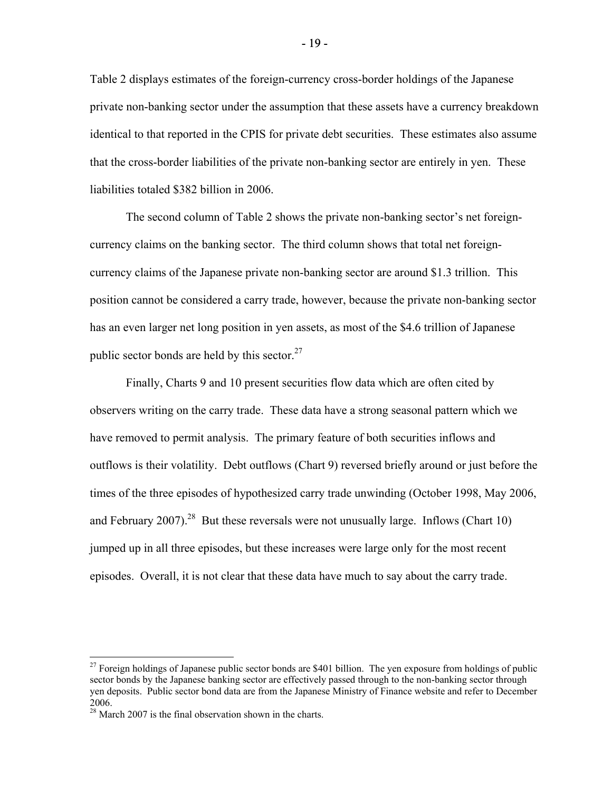Table 2 displays estimates of the foreign-currency cross-border holdings of the Japanese private non-banking sector under the assumption that these assets have a currency breakdown identical to that reported in the CPIS for private debt securities. These estimates also assume that the cross-border liabilities of the private non-banking sector are entirely in yen. These liabilities totaled \$382 billion in 2006.

 The second column of Table 2 shows the private non-banking sector's net foreigncurrency claims on the banking sector. The third column shows that total net foreigncurrency claims of the Japanese private non-banking sector are around \$1.3 trillion. This position cannot be considered a carry trade, however, because the private non-banking sector has an even larger net long position in yen assets, as most of the \$4.6 trillion of Japanese public sector bonds are held by this sector. $27$ 

 Finally, Charts 9 and 10 present securities flow data which are often cited by observers writing on the carry trade. These data have a strong seasonal pattern which we have removed to permit analysis. The primary feature of both securities inflows and outflows is their volatility. Debt outflows (Chart 9) reversed briefly around or just before the times of the three episodes of hypothesized carry trade unwinding (October 1998, May 2006, and February 2007).<sup>28</sup> But these reversals were not unusually large. Inflows (Chart 10) jumped up in all three episodes, but these increases were large only for the most recent episodes. Overall, it is not clear that these data have much to say about the carry trade.

 $\overline{a}$ 

 $^{27}$  Foreign holdings of Japanese public sector bonds are \$401 billion. The yen exposure from holdings of public sector bonds by the Japanese banking sector are effectively passed through to the non-banking sector through yen deposits. Public sector bond data are from the Japanese Ministry of Finance website and refer to December 2006.

 $2<sup>28</sup>$  March 2007 is the final observation shown in the charts.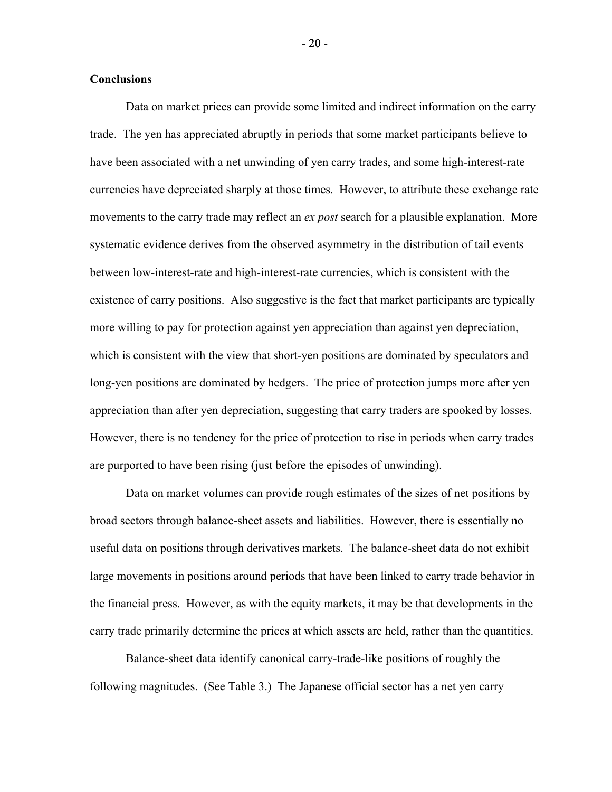#### **Conclusions**

 Data on market prices can provide some limited and indirect information on the carry trade. The yen has appreciated abruptly in periods that some market participants believe to have been associated with a net unwinding of yen carry trades, and some high-interest-rate currencies have depreciated sharply at those times. However, to attribute these exchange rate movements to the carry trade may reflect an *ex post* search for a plausible explanation. More systematic evidence derives from the observed asymmetry in the distribution of tail events between low-interest-rate and high-interest-rate currencies, which is consistent with the existence of carry positions. Also suggestive is the fact that market participants are typically more willing to pay for protection against yen appreciation than against yen depreciation, which is consistent with the view that short-yen positions are dominated by speculators and long-yen positions are dominated by hedgers. The price of protection jumps more after yen appreciation than after yen depreciation, suggesting that carry traders are spooked by losses. However, there is no tendency for the price of protection to rise in periods when carry trades are purported to have been rising (just before the episodes of unwinding).

 Data on market volumes can provide rough estimates of the sizes of net positions by broad sectors through balance-sheet assets and liabilities. However, there is essentially no useful data on positions through derivatives markets. The balance-sheet data do not exhibit large movements in positions around periods that have been linked to carry trade behavior in the financial press. However, as with the equity markets, it may be that developments in the carry trade primarily determine the prices at which assets are held, rather than the quantities.

 Balance-sheet data identify canonical carry-trade-like positions of roughly the following magnitudes. (See Table 3.) The Japanese official sector has a net yen carry

- 20 -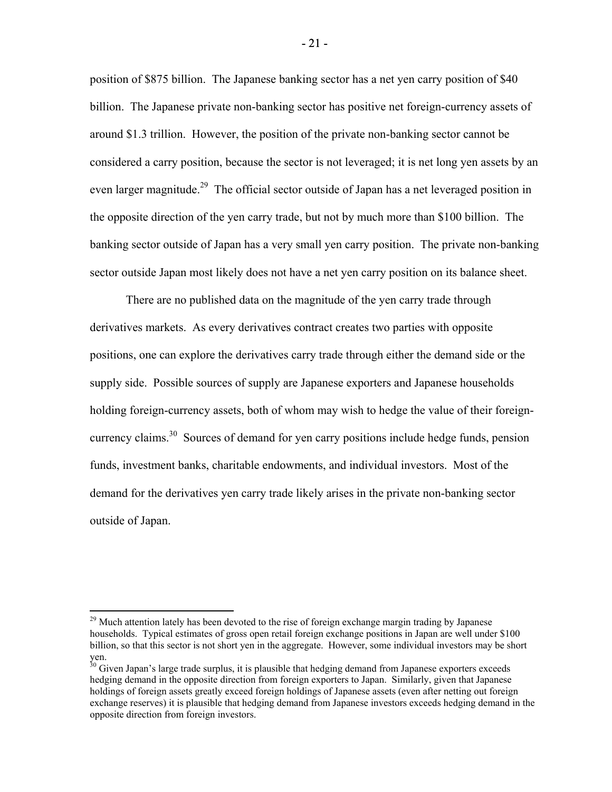position of \$875 billion. The Japanese banking sector has a net yen carry position of \$40 billion. The Japanese private non-banking sector has positive net foreign-currency assets of around \$1.3 trillion. However, the position of the private non-banking sector cannot be considered a carry position, because the sector is not leveraged; it is net long yen assets by an even larger magnitude.<sup>29</sup> The official sector outside of Japan has a net leveraged position in the opposite direction of the yen carry trade, but not by much more than \$100 billion. The banking sector outside of Japan has a very small yen carry position. The private non-banking sector outside Japan most likely does not have a net yen carry position on its balance sheet.

 There are no published data on the magnitude of the yen carry trade through derivatives markets. As every derivatives contract creates two parties with opposite positions, one can explore the derivatives carry trade through either the demand side or the supply side. Possible sources of supply are Japanese exporters and Japanese households holding foreign-currency assets, both of whom may wish to hedge the value of their foreigncurrency claims.30 Sources of demand for yen carry positions include hedge funds, pension funds, investment banks, charitable endowments, and individual investors. Most of the demand for the derivatives yen carry trade likely arises in the private non-banking sector outside of Japan.

 $\overline{a}$ 

 $29$  Much attention lately has been devoted to the rise of foreign exchange margin trading by Japanese households. Typical estimates of gross open retail foreign exchange positions in Japan are well under \$100 billion, so that this sector is not short yen in the aggregate. However, some individual investors may be short yen.

<sup>&</sup>lt;sup>30</sup> Given Japan's large trade surplus, it is plausible that hedging demand from Japanese exporters exceeds hedging demand in the opposite direction from foreign exporters to Japan. Similarly, given that Japanese holdings of foreign assets greatly exceed foreign holdings of Japanese assets (even after netting out foreign exchange reserves) it is plausible that hedging demand from Japanese investors exceeds hedging demand in the opposite direction from foreign investors.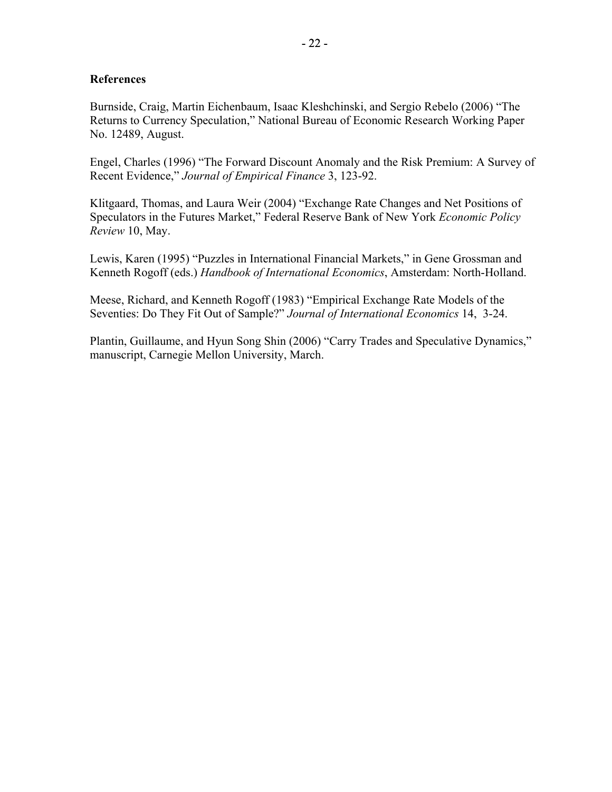# **References**

Burnside, Craig, Martin Eichenbaum, Isaac Kleshchinski, and Sergio Rebelo (2006) "The Returns to Currency Speculation," National Bureau of Economic Research Working Paper No. 12489, August.

Engel, Charles (1996) "The Forward Discount Anomaly and the Risk Premium: A Survey of Recent Evidence," *Journal of Empirical Finance* 3, 123-92.

Klitgaard, Thomas, and Laura Weir (2004) "Exchange Rate Changes and Net Positions of Speculators in the Futures Market," Federal Reserve Bank of New York *Economic Policy Review* 10, May.

Lewis, Karen (1995) "Puzzles in International Financial Markets," in Gene Grossman and Kenneth Rogoff (eds.) *Handbook of International Economics*, Amsterdam: North-Holland.

Meese, Richard, and Kenneth Rogoff (1983) "Empirical Exchange Rate Models of the Seventies: Do They Fit Out of Sample?" *Journal of International Economics* 14, 3-24.

Plantin, Guillaume, and Hyun Song Shin (2006) "Carry Trades and Speculative Dynamics," manuscript, Carnegie Mellon University, March.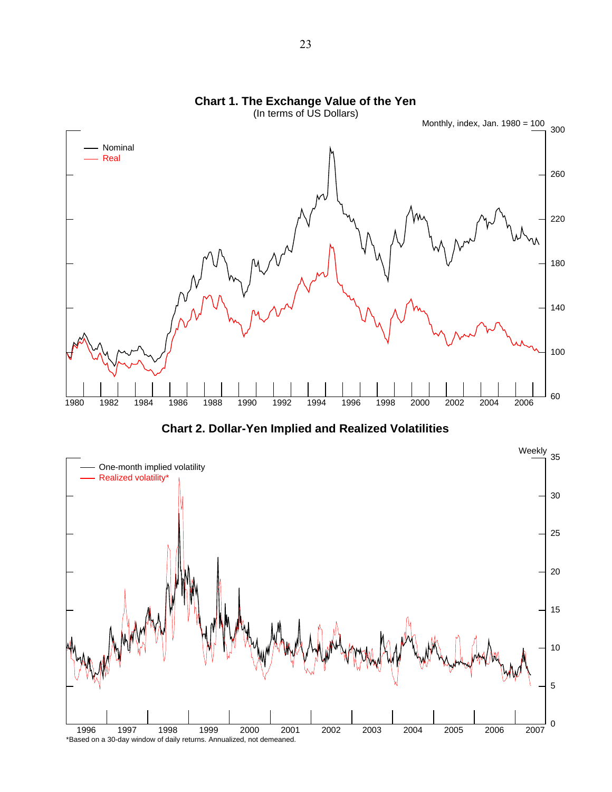



**Chart 2. Dollar-Yen Implied and Realized Volatilities**

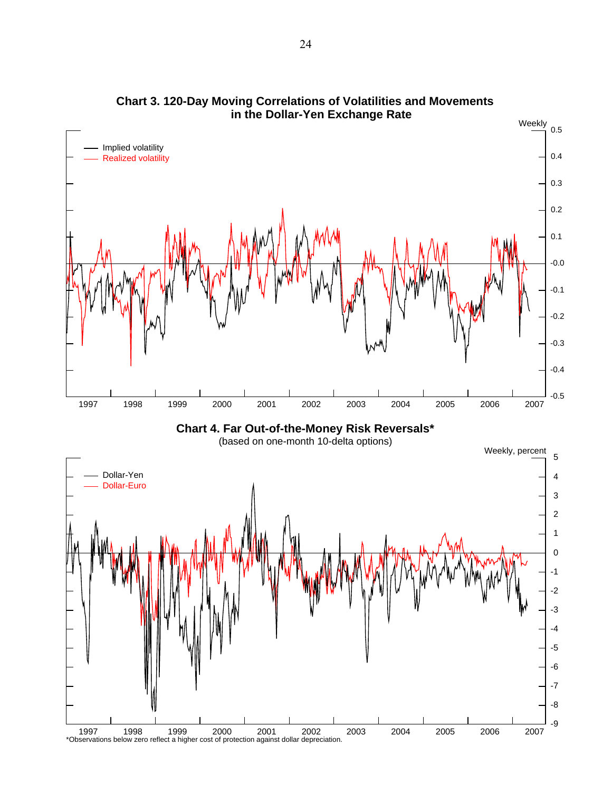

**in the Dollar-Yen Exchange Rate Chart 3. 120-Day Moving Correlations of Volatilities and Movements**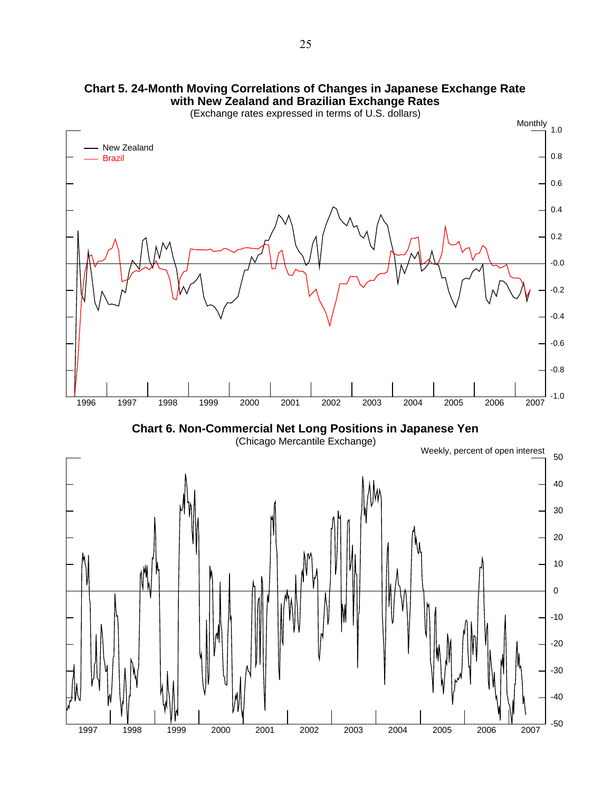

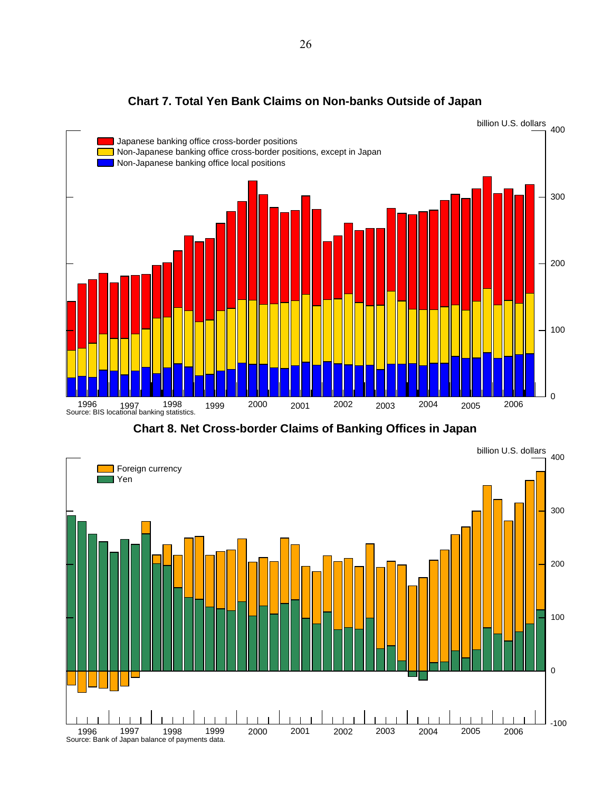

**Chart 7. Total Yen Bank Claims on Non-banks Outside of Japan**

**Chart 8. Net Cross-border Claims of Banking Offices in Japan**

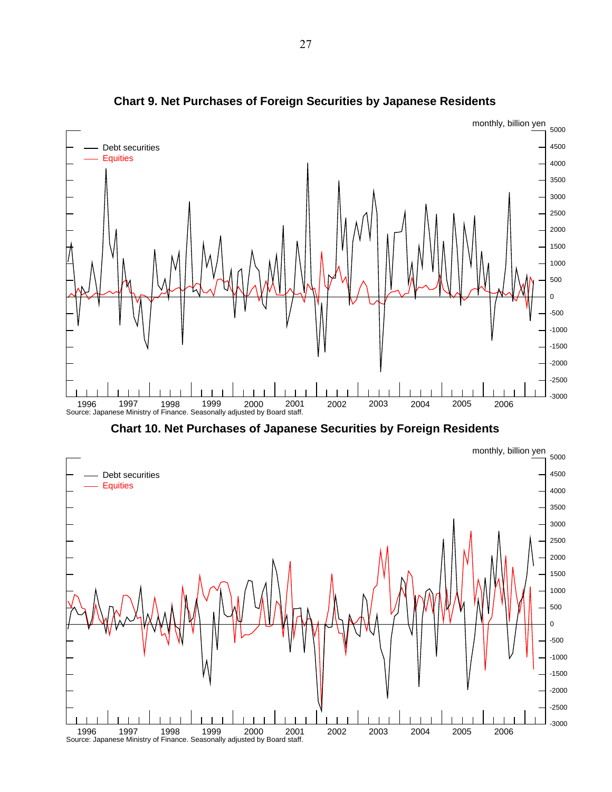

**Chart 9. Net Purchases of Foreign Securities by Japanese Residents**

**Chart 10. Net Purchases of Japanese Securities by Foreign Residents**

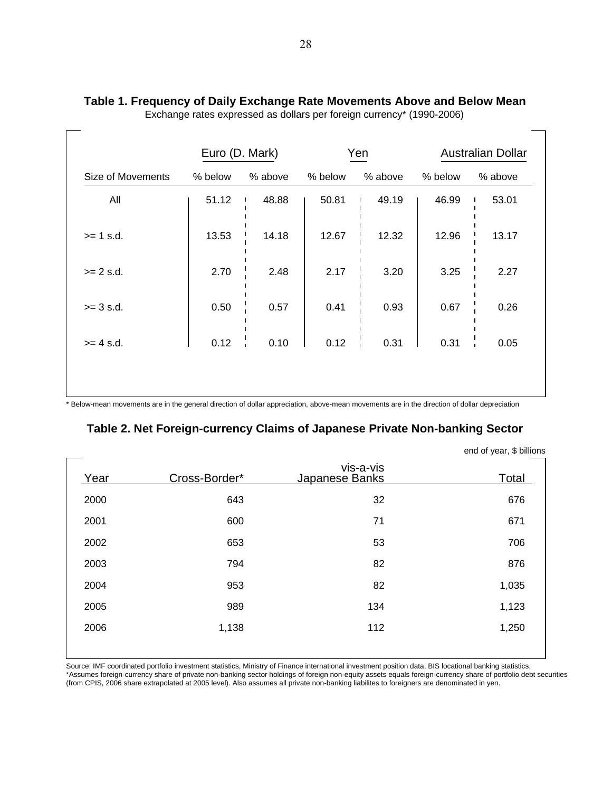|         |         |                |         |         | <b>Australian Dollar</b> |
|---------|---------|----------------|---------|---------|--------------------------|
| % below | % above | % below        | % above | % below | % above                  |
| 51.12   | 48.88   | 50.81          | 49.19   | 46.99   | 53.01                    |
| 13.53   | 14.18   | 12.67          | 12.32   | 12.96   | 13.17                    |
| 2.70    | 2.48    | 2.17           | 3.20    | 3.25    | 2.27                     |
| 0.50    | 0.57    | 0.41           | 0.93    | 0.67    | 0.26                     |
| 0.12    | 0.10    | 0.12           | 0.31    | 0.31    | 0.05                     |
|         |         |                |         |         |                          |
|         |         | Euro (D. Mark) |         | Yen     |                          |

# **Table 1. Frequency of Daily Exchange Rate Movements Above and Below Mean**

Exchange rates expressed as dollars per foreign currency\* (1990-2006)

# **Table 2. Net Foreign-currency Claims of Japanese Private Non-banking Sector**

|      |               |                             | $\frac{1}{2}$ |
|------|---------------|-----------------------------|---------------|
| Year | Cross-Border* | vis-a-vis<br>Japanese Banks | Total         |
| 2000 | 643           | 32                          | 676           |
| 2001 | 600           | 71                          | 671           |
| 2002 | 653           | 53                          | 706           |
| 2003 | 794           | 82                          | 876           |
| 2004 | 953           | 82                          | 1,035         |
| 2005 | 989           | 134                         | 1,123         |
| 2006 | 1,138         | 112                         | 1,250         |
|      |               |                             |               |

end of year, \$ billions

Source: IMF coordinated portfolio investment statistics, Ministry of Finance international investment position data, BIS locational banking statistics. \*Assumes foreign-currency share of private non-banking sector holdings of foreign non-equity assets equals foreign-currency share of portfolio debt securities (from CPIS, 2006 share extrapolated at 2005 level). Also assumes all private non-banking liabilites to foreigners are denominated in yen.